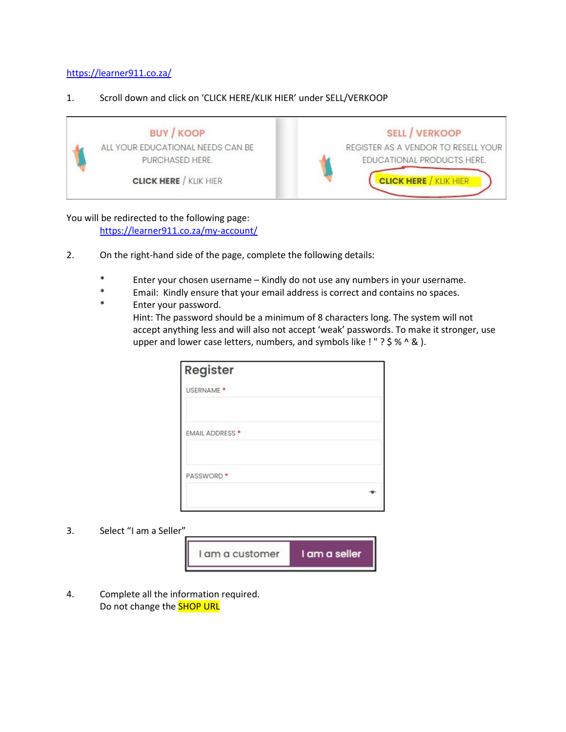#### <https://learner911.co.za/>

#### 1. Scroll down and click on 'CLICK HERE/KLIK HIER' under SELL/VERKOOP



## You will be redirected to the following page:

<https://learner911.co.za/my-account/>

- 2. On the right-hand side of the page, complete the following details:
	- \* Enter your chosen username Kindly do not use any numbers in your username.
	- \* Email: Kindly ensure that your email address is correct and contains no spaces.
	- \* Enter your password.
		- Hint: The password should be a minimum of 8 characters long. The system will not accept anything less and will also not accept 'weak' passwords. To make it stronger, use upper and lower case letters, numbers, and symbols like ! " ? \$ % ^ & ).

| Register               |  |
|------------------------|--|
| USERNAME <sup>*</sup>  |  |
| <b>EMAIL ADDRESS *</b> |  |
| PASSWORD <sup>*</sup>  |  |
|                        |  |

3. Select "I am a Seller"



4. Complete all the information required. Do not change the **SHOP URL**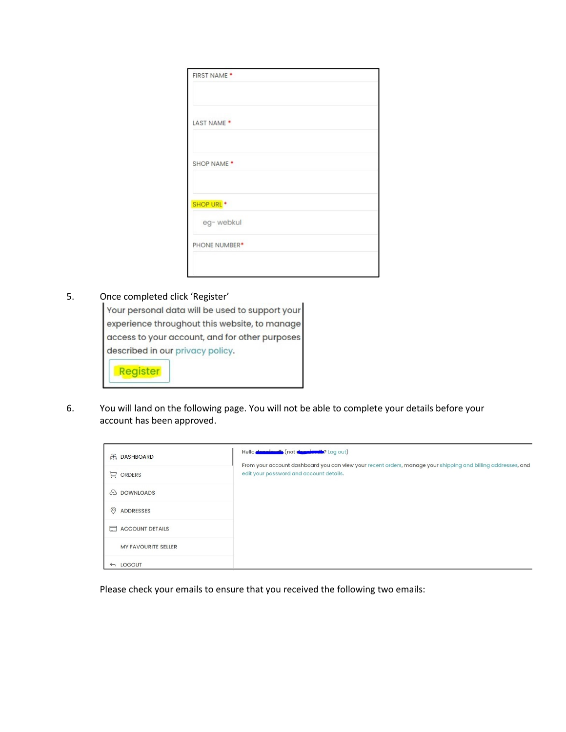| FIRST NAME <sup>*</sup>    |  |  |
|----------------------------|--|--|
| LAST NAME <sup>*</sup>     |  |  |
| SHOP NAME *                |  |  |
| SHOP URL <sup>*</sup>      |  |  |
| eg-webkul<br>PHONE NUMBER* |  |  |
|                            |  |  |

### 5. Once completed click 'Register'

| Your personal data will be used to support your |
|-------------------------------------------------|
| experience throughout this website, to manage   |
| access to your account, and for other purposes  |
| described in our privacy policy.                |
| Register                                        |

6. You will land on the following page. You will not be able to complete your details before your account has been approved.

| 品 DASHBOARD                | Hello <b>dennieurils</b> (not denniumin? Log out)                                                                                                       |
|----------------------------|---------------------------------------------------------------------------------------------------------------------------------------------------------|
| $\Box$ ORDERS              | From your account dashboard you can view your recent orders, manage your shipping and billing addresses, and<br>edit your password and account details. |
| <b>B</b> DOWNLOADS         |                                                                                                                                                         |
| $\circ$<br>ADDRESSES       |                                                                                                                                                         |
| ACCOUNT DETAILS            |                                                                                                                                                         |
| <b>MY FAVOURITE SELLER</b> |                                                                                                                                                         |
| $\leftarrow$ LOGOUT        |                                                                                                                                                         |

Please check your emails to ensure that you received the following two emails: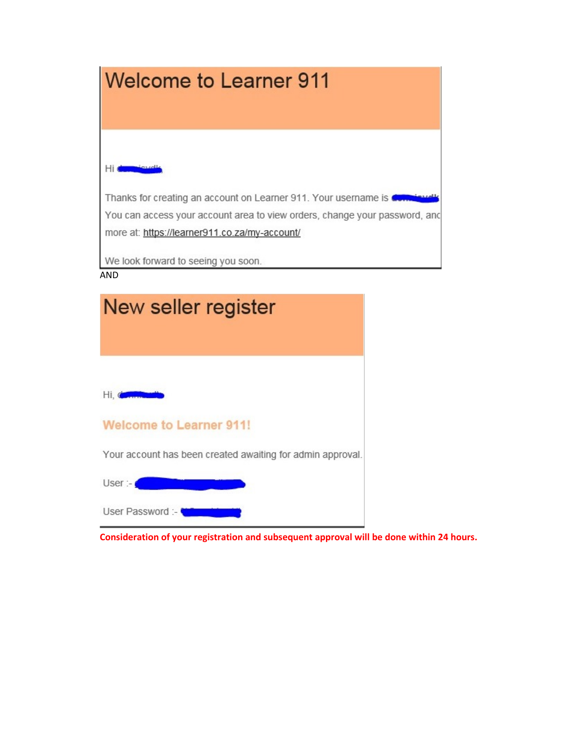

| New seller register                                        |  |
|------------------------------------------------------------|--|
|                                                            |  |
| Hi, o                                                      |  |
| <b>Welcome to Learner 911!</b>                             |  |
| Your account has been created awaiting for admin approval. |  |
| User: $-$                                                  |  |
| User Password :-                                           |  |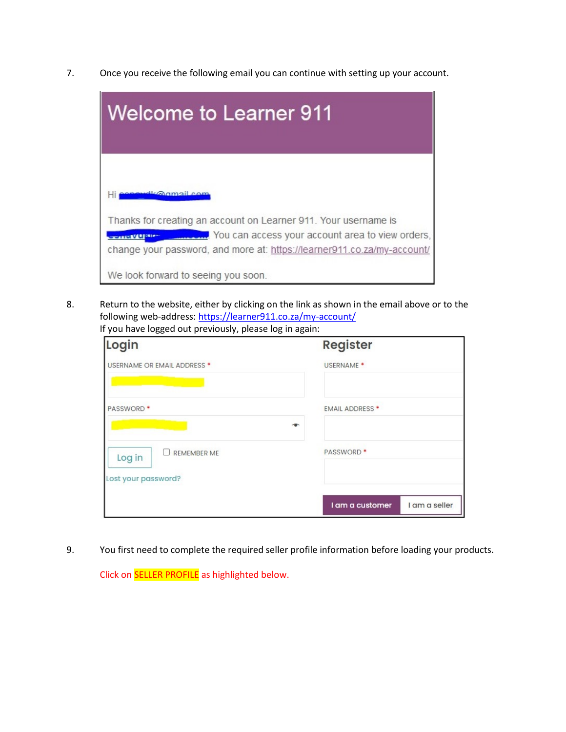7. Once you receive the following email you can continue with setting up your account.

| <b>Welcome to Learner 911</b>                                                                                                                                                                                       |
|---------------------------------------------------------------------------------------------------------------------------------------------------------------------------------------------------------------------|
| <u>diconnail com</u>                                                                                                                                                                                                |
| Thanks for creating an account on Learner 911. Your username is<br>You can access your account area to view orders,<br><b>TANE VALUE</b><br>change your password, and more at: https://learner911.co.za/my-account/ |
| We look forward to seeing you soon.                                                                                                                                                                                 |

8. Return to the website, either by clicking on the link as shown in the email above or to the following web-address[: https://learner911.co.za/my-account/](https://learner911.co.za/my-account/) If you have logged out previously, please log in again:

| Login                        | <b>Register</b>                  |
|------------------------------|----------------------------------|
| USERNAME OR EMAIL ADDRESS *  | USERNAME <sup>*</sup>            |
| <b>PASSWORD</b> *            | <b>EMAIL ADDRESS *</b><br>一      |
| <b>REMEMBER ME</b><br>Log in | <b>PASSWORD</b> *                |
| Lost your password?          | I am a customer<br>I am a seller |

9. You first need to complete the required seller profile information before loading your products.

Click on SELLER PROFILE as highlighted below.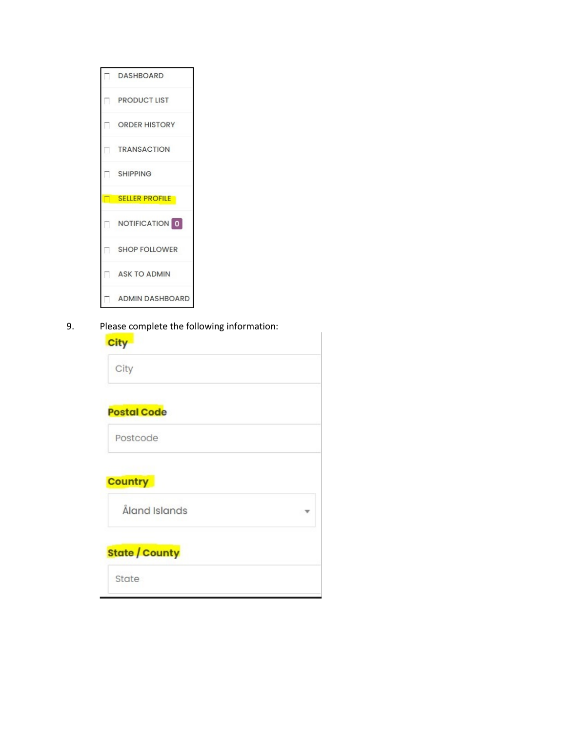

9. Please complete the following information:

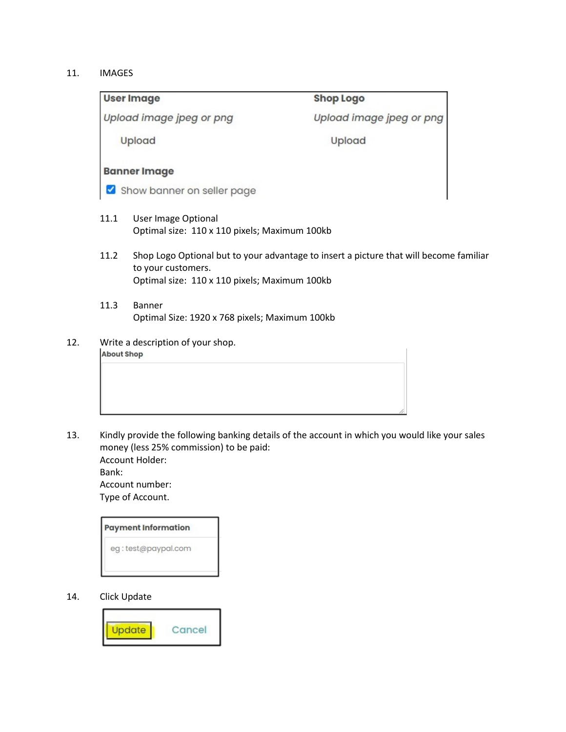#### 11. IMAGES

|                   | <b>User Image</b>                                                    | <b>Shop Logo</b>                                                                       |
|-------------------|----------------------------------------------------------------------|----------------------------------------------------------------------------------------|
|                   | Upload image jpeg or png                                             | Upload image jpeg or png                                                               |
|                   | Upload                                                               | Upload                                                                                 |
|                   | <b>Banner Image</b>                                                  |                                                                                        |
|                   | Show banner on seller page                                           |                                                                                        |
| 11.1              | User Image Optional<br>Optimal size: 110 x 110 pixels; Maximum 100kb |                                                                                        |
| 11.2              | to your customers.<br>Optimal size: 110 x 110 pixels; Maximum 100kb  | Shop Logo Optional but to your advantage to insert a picture that will become familiar |
| 11.3              | Banner<br>Optimal Size: 1920 x 768 pixels; Maximum 100kb             |                                                                                        |
| <b>About Shop</b> | Write a description of your shop.                                    |                                                                                        |

13. Kindly provide the following banking details of the account in which you would like your sales money (less 25% commission) to be paid: Account Holder:

Bank:

Account number: Type of Account.

| <b>Payment Information</b> |  |
|----------------------------|--|
| eg:test@paypal.com         |  |
|                            |  |

14. Click Update

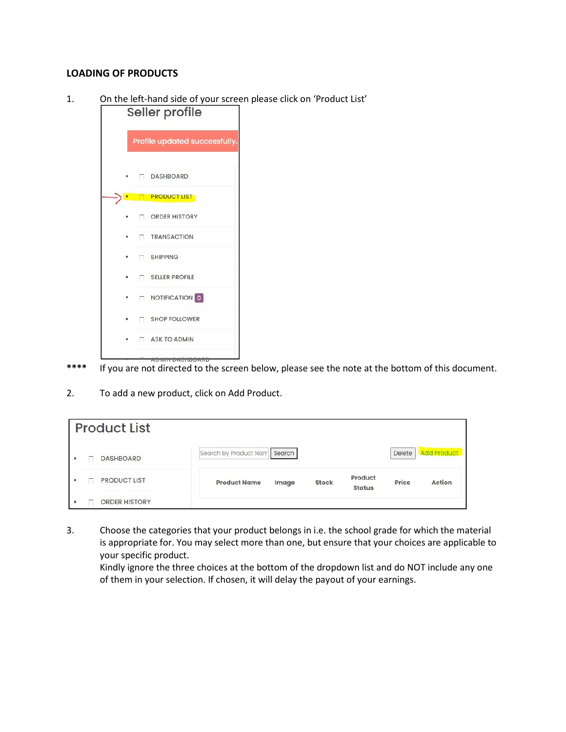### **LOADING OF PRODUCTS**

1. On the left-hand side of your screen please click on 'Product List'

| Seller profile                |                       |  |  |  |  |
|-------------------------------|-----------------------|--|--|--|--|
| Profile updated successfully. |                       |  |  |  |  |
|                               | <b>DASHBOARD</b>      |  |  |  |  |
|                               | <b>PRODUCT LIST</b>   |  |  |  |  |
|                               | <b>ORDER HISTORY</b>  |  |  |  |  |
|                               | <b>TRANSACTION</b>    |  |  |  |  |
|                               | <b>SHIPPING</b>       |  |  |  |  |
|                               | SELLER PROFILE        |  |  |  |  |
|                               | $\Box$ NOTIFICATION 0 |  |  |  |  |
|                               | SHOP FOLLOWER         |  |  |  |  |
|                               | ASK TO ADMIN          |  |  |  |  |
|                               |                       |  |  |  |  |

**\*\*\*\*** If you are not directed to the screen below, please see the note at the bottom of this document.

2. To add a new product, click on Add Product.

| <b>Product List</b>       |                       |        |              |                          |        |                    |
|---------------------------|-----------------------|--------|--------------|--------------------------|--------|--------------------|
| <b>DASHBOARD</b><br>٠     | Search by Product Nam | Search |              |                          | Delete | <b>Add Product</b> |
| <b>PRODUCT LIST</b><br>٠  | <b>Product Name</b>   | Image  | <b>Stock</b> | Product<br><b>Status</b> | Price  | <b>Action</b>      |
| <b>ORDER HISTORY</b><br>٠ |                       |        |              |                          |        |                    |

3. Choose the categories that your product belongs in i.e. the school grade for which the material is appropriate for. You may select more than one, but ensure that your choices are applicable to your specific product.

Kindly ignore the three choices at the bottom of the dropdown list and do NOT include any one of them in your selection. If chosen, it will delay the payout of your earnings.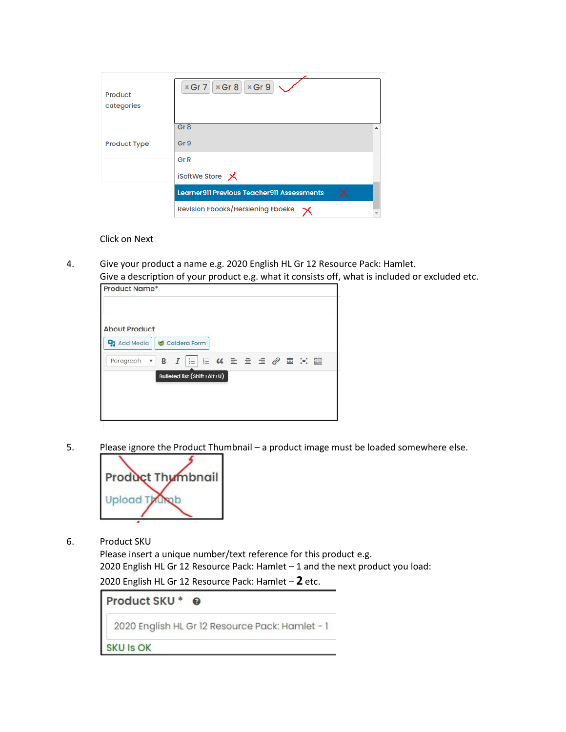| Product<br>categories | $*$ Gr 7 $*$ Gr 8 $*$ Gr 9                 |  |
|-----------------------|--------------------------------------------|--|
|                       | Gr <sub>8</sub>                            |  |
| <b>Product Type</b>   | Gr 9                                       |  |
|                       | Gr <sub>R</sub>                            |  |
|                       | iSoftWe Store メ                            |  |
|                       | Learner911 Previous Teacher911 Assessments |  |
|                       | Revision Ebooks/Hersiening Eboeke          |  |

Click on Next

4. Give your product a name e.g. 2020 English HL Gr 12 Resource Pack: Hamlet. Give a description of your product e.g. what it consists off, what is included or excluded etc.

| Product Name*                               |  |                                                                                                                                                                             |  |  |  |           |  |
|---------------------------------------------|--|-----------------------------------------------------------------------------------------------------------------------------------------------------------------------------|--|--|--|-----------|--|
| <b>About Product</b><br><b>91</b> Add Media |  | Caldera Form                                                                                                                                                                |  |  |  |           |  |
| Paragraph                                   |  | $\mathbf{v}$ <b>B</b> $I$ $\equiv$ $\equiv$ $\mathbf{K}$ <b>E</b> $\equiv$ $\equiv$ $\mathbf{E}$ $\equiv$ $\mathbf{E}$ $\equiv$ $\mathbf{K}$<br>Bulleted list (Shift+Alt+U) |  |  |  | <b>ER</b> |  |
|                                             |  |                                                                                                                                                                             |  |  |  |           |  |

5. Please ignore the Product Thumbnail – a product image must be loaded somewhere else.



6. Product SKU

Please insert a unique number/text reference for this product e.g. 2020 English HL Gr 12 Resource Pack: Hamlet – 1 and the next product you load: 2020 English HL Gr 12 Resource Pack: Hamlet – **2** etc.

Product SKU \* @ 2020 English HL Gr 12 Resource Pack: Hamlet - 1

**SKU Is OK**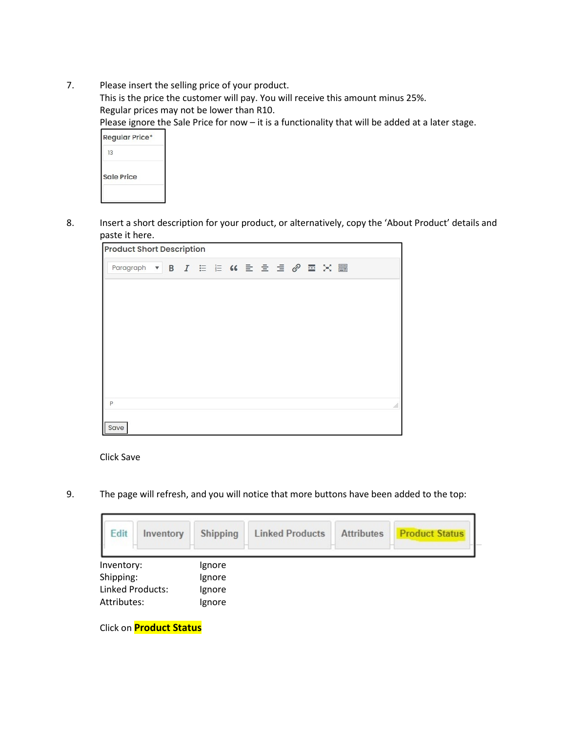7. Please insert the selling price of your product.

This is the price the customer will pay. You will receive this amount minus 25%. Regular prices may not be lower than R10.

Please ignore the Sale Price for now - it is a functionality that will be added at a later stage.

| <b>Regular Price*</b> |  |
|-----------------------|--|
| 13                    |  |
| <b>Sale Price</b>     |  |
|                       |  |

8. Insert a short description for your product, or alternatively, copy the 'About Product' details and paste it here.

| <b>Product Short Description</b>    |  |  |  |  |  |  |  |    |
|-------------------------------------|--|--|--|--|--|--|--|----|
| Paragraph v B I E E K E E E @ E X E |  |  |  |  |  |  |  |    |
|                                     |  |  |  |  |  |  |  |    |
|                                     |  |  |  |  |  |  |  |    |
|                                     |  |  |  |  |  |  |  |    |
|                                     |  |  |  |  |  |  |  |    |
|                                     |  |  |  |  |  |  |  |    |
|                                     |  |  |  |  |  |  |  |    |
| P                                   |  |  |  |  |  |  |  | á. |
| Save                                |  |  |  |  |  |  |  |    |

Click Save

9. The page will refresh, and you will notice that more buttons have been added to the top:

| Edit<br>Inventory | Shipping | <b>Linked Products</b> | <b>Attributes</b> | <b>Product Status</b> |
|-------------------|----------|------------------------|-------------------|-----------------------|
| Inventory:        | Ignore   |                        |                   |                       |
| Shipping:         | Ignore   |                        |                   |                       |
| Linked Products:  | Ignore   |                        |                   |                       |
| Attributes:       | Ignore   |                        |                   |                       |

Click on **Product Status**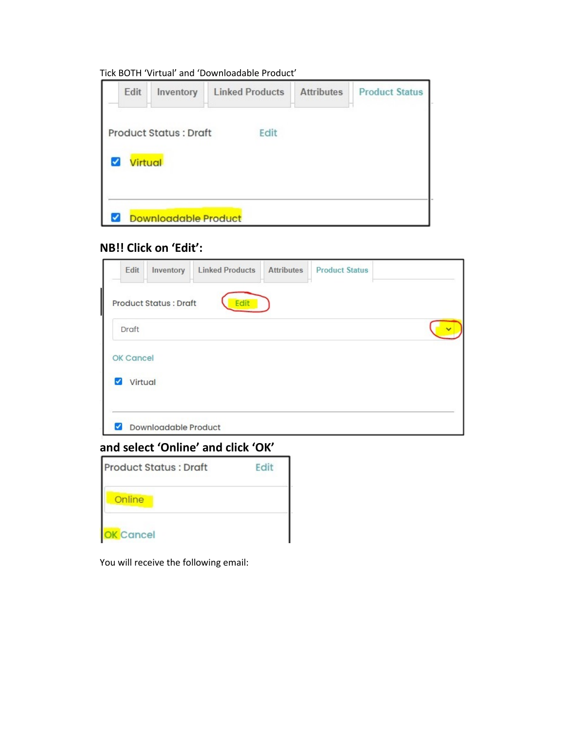### Tick BOTH 'Virtual' and 'Downloadable Product'

| Edit           | Inventory                    | <b>Linked Products</b> | <b>Attributes</b> | <b>Product Status</b> |
|----------------|------------------------------|------------------------|-------------------|-----------------------|
|                | <b>Product Status: Draft</b> | Edit                   |                   |                       |
| <b>Virtual</b> |                              |                        |                   |                       |
|                |                              |                        |                   |                       |
|                | <b>Downloadable Product</b>  |                        |                   |                       |

# **NB!! Click on 'Edit':**

| Edit                            | Inventory                     | <b>Linked Products</b> | <b>Attributes</b> | <b>Product Status</b> |  |
|---------------------------------|-------------------------------|------------------------|-------------------|-----------------------|--|
|                                 | <b>Product Status : Draft</b> | Edit                   |                   |                       |  |
| Draft                           |                               |                        |                   |                       |  |
| OK Cancel                       |                               |                        |                   |                       |  |
| Virtual<br>$\blacktriangledown$ |                               |                        |                   |                       |  |
| ✓                               | <b>Downloadable Product</b>   |                        |                   |                       |  |

# **and select 'Online' and click 'OK'**

| <b>Product Status: Draft</b> | Fd |
|------------------------------|----|
| Online                       |    |
| <b>K</b> Cancel              |    |

You will receive the following email: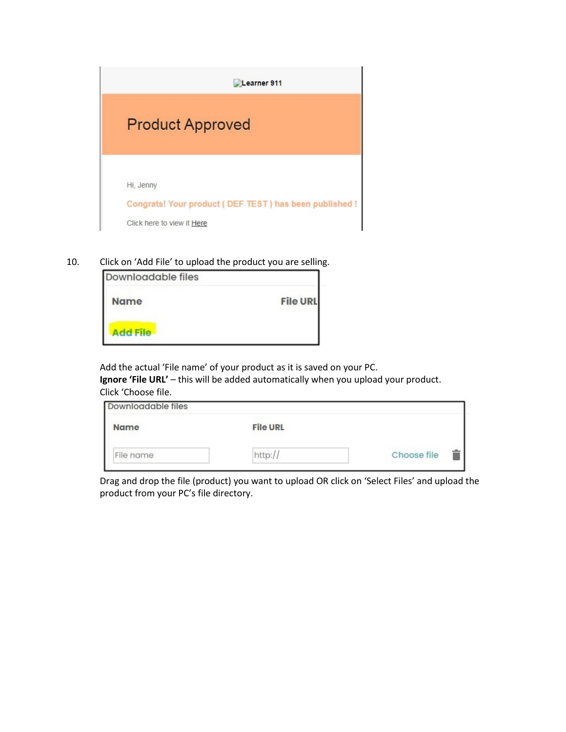

10. Click on 'Add File' to upload the product you are selling.

| <b>Downloadable files</b> |                 |
|---------------------------|-----------------|
| <b>Name</b>               | <b>File URL</b> |
| <b>Add File</b>           |                 |

Add the actual 'File name' of your product as it is saved on your PC. **Ignore 'File URL'** – this will be added automatically when you upload your product. Click 'Choose file.

| Downloadable files |                 |             |
|--------------------|-----------------|-------------|
| <b>Name</b>        | <b>File URL</b> |             |
| File name          | http://         | Choose file |

Drag and drop the file (product) you want to upload OR click on 'Select Files' and upload the product from your PC's file directory.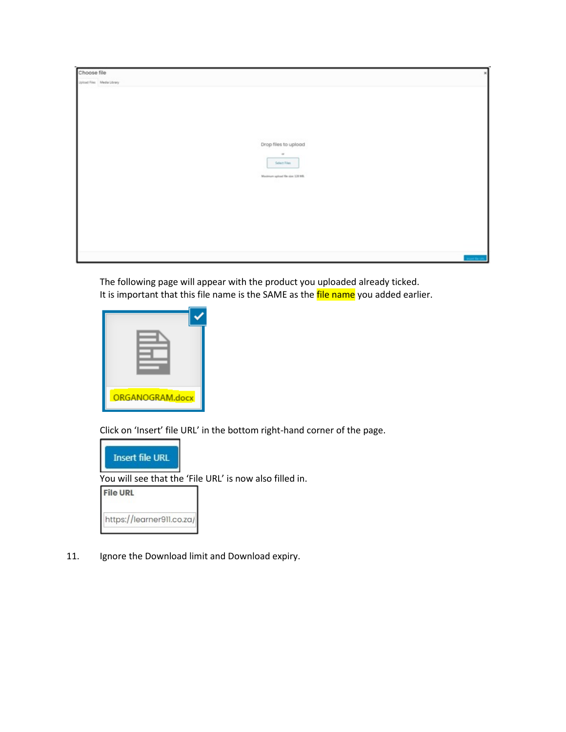| Choose file                |                                   |
|----------------------------|-----------------------------------|
| Upload Files Media Library |                                   |
|                            |                                   |
|                            |                                   |
|                            |                                   |
|                            |                                   |
|                            |                                   |
|                            | 992729339112                      |
|                            | Drop files to upload              |
|                            | $\alpha$                          |
|                            | Select Files                      |
|                            | Maximum upload file size: 138 MB. |
|                            |                                   |
|                            |                                   |
|                            |                                   |
|                            |                                   |
|                            |                                   |
|                            |                                   |
|                            |                                   |
|                            |                                   |
|                            | <b>Start To Life.</b>             |

The following page will appear with the product you uploaded already ticked. It is important that this file name is the SAME as the file name you added earlier.

| ORGANOGRAM.docx |  |
|-----------------|--|

Click on 'Insert' file URL' in the bottom right-hand corner of the page.



You will see that the 'File URL' is now also filled in.

**File URL** 

https://learner911.co.za/

11. Ignore the Download limit and Download expiry.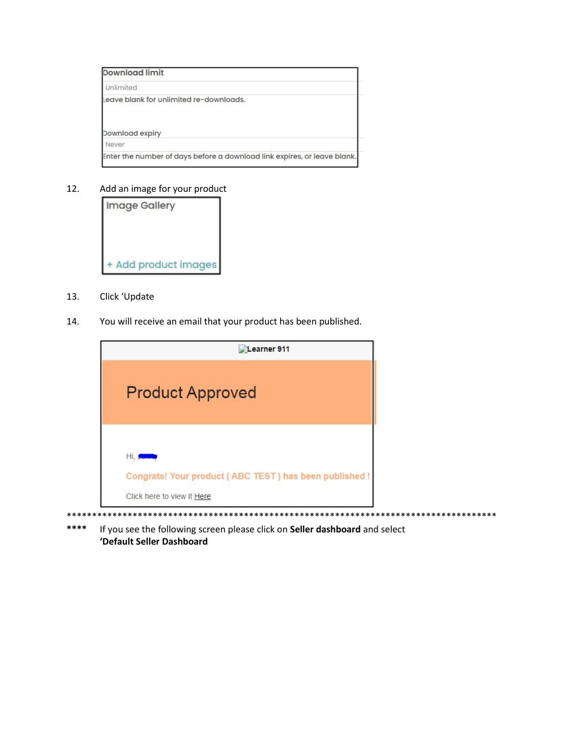| Download limit                                                           |  |
|--------------------------------------------------------------------------|--|
| Unlimited                                                                |  |
| Leave blank for unlimited re-downloads.                                  |  |
| Download expiry                                                          |  |
| Never                                                                    |  |
| Enter the number of days before a download link expires, or leave blank. |  |

12. Add an image for your product



- 13. Click 'Update
- 14. You will receive an email that your product has been published.

| Learner 911                                                                                      |
|--------------------------------------------------------------------------------------------------|
| <b>Product Approved</b>                                                                          |
| Hi, Comp<br>Congrats! Your product (ABC TEST) has been published !<br>Click here to view it Here |

\*\*\*\*\*\*\*\*\*\*\*\*\*\*\*\*\*\*\*\*\*\*\*\*\*\*\*\*\*\*\*\*\*\*\*\*\*\*\*\*\*\*\*\*\*\*\*\*\*\*\*\*\*\*\*\*\*\*\*\*\*\*\*\*\*\*\*\*\*\*\*\*\*\*\*\*\*\*\*\*\*\*\*\*\* **\*\*\*\*** If you see the following screen please click on **Seller dashboard** and select **'Default Seller Dashboard**